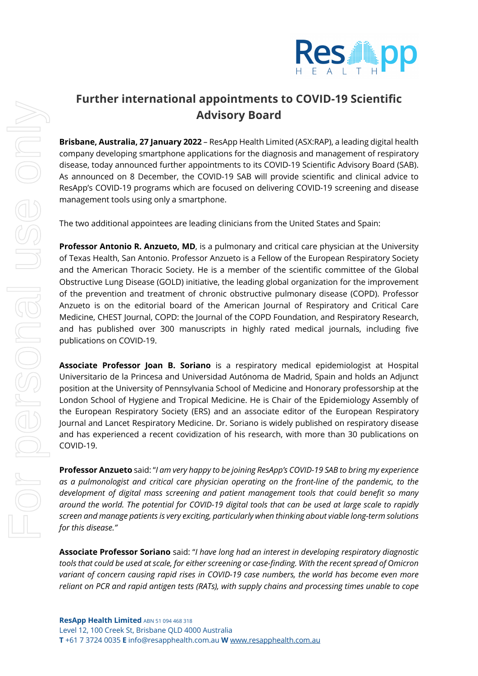

## **Further international appointments to COVID-19 Scientific Advisory Board**

**Brisbane, Australia, 27 January 2022** – ResApp Health Limited (ASX:RAP), a leading digital health company developing smartphone applications for the diagnosis and management of respiratory disease, today announced further appointments to its COVID-19 Scientific Advisory Board (SAB). As announced on 8 December, the COVID-19 SAB will provide scientific and clinical advice to ResApp's COVID-19 programs which are focused on delivering COVID-19 screening and disease management tools using only a smartphone.

The two additional appointees are leading clinicians from the United States and Spain:

**Professor Antonio R. Anzueto, MD**, is a pulmonary and critical care physician at the University of Texas Health, San Antonio. Professor Anzueto is a Fellow of the European Respiratory Society and the American Thoracic Society. He is a member of the scientific committee of the Global Obstructive Lung Disease (GOLD) initiative, the leading global organization for the improvement of the prevention and treatment of chronic obstructive pulmonary disease (COPD). Professor Anzueto is on the editorial board of the American Journal of Respiratory and Critical Care Medicine, CHEST Journal, COPD: the Journal of the COPD Foundation, and Respiratory Research, and has published over 300 manuscripts in highly rated medical journals, including five publications on COVID-19.

**Associate Professor Joan B. Soriano** is a respiratory medical epidemiologist at Hospital Universitario de la Princesa and Universidad Autónoma de Madrid, Spain and holds an Adjunct position at the University of Pennsylvania School of Medicine and Honorary professorship at the London School of Hygiene and Tropical Medicine. He is Chair of the Epidemiology Assembly of the European Respiratory Society (ERS) and an associate editor of the European Respiratory Journal and Lancet Respiratory Medicine. Dr. Soriano is widely published on respiratory disease and has experienced a recent covidization of his research, with more than 30 publications on COVID-19.

**Professor Anzueto** said: "*I am very happy to be joining ResApp's COVID-19 SAB to bring my experience as a pulmonologist and critical care physician operating on the front-line of the pandemic, to the development of digital mass screening and patient management tools that could benefit so many around the world. The potential for COVID-19 digital tools that can be used at large scale to rapidly screen and manage patients is very exciting, particularly when thinking about viable long-term solutions for this disease."*

**Associate Professor Soriano** said: "*I have long had an interest in developing respiratory diagnostic tools that could be used at scale, for either screening or case-finding. With the recent spread of Omicron variant of concern causing rapid rises in COVID-19 case numbers, the world has become even more reliant on PCR and rapid antigen tests (RATs), with supply chains and processing times unable to cope*